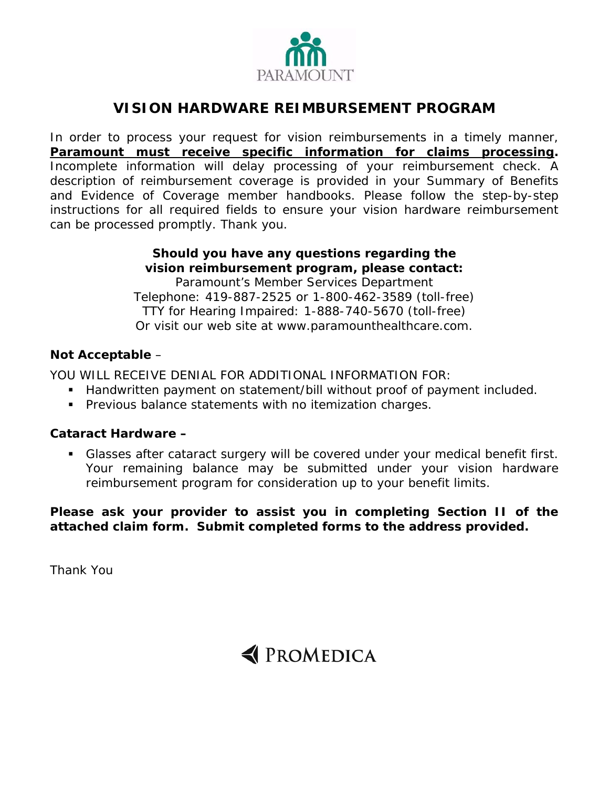

# **VISION HARDWARE REIMBURSEMENT PROGRAM**

In order to process your request for vision reimbursements in a timely manner, **Paramount must receive specific information for claims processing.**  Incomplete information will delay processing of your reimbursement check. A description of reimbursement coverage is provided in your *Summary of Benefits*  and *Evidence of Coverage* member handbooks. Please follow the step-by-step instructions for all required fields to ensure your vision hardware reimbursement can be processed promptly. Thank you.

## **Should you have any questions regarding the vision reimbursement program, please contact:**

Paramount's Member Services Department Telephone: 419-887-2525 or 1-800-462-3589 (toll-free) TTY for Hearing Impaired: 1-888-740-5670 (toll-free) Or visit our web site at *www.paramounthealthcare.com.*

## **Not Acceptable** –

YOU WILL RECEIVE DENIAL FOR ADDITIONAL INFORMATION FOR:

- Handwritten payment on statement/bill without proof of payment included.
- **Previous balance statements with no itemization charges.**

## **Cataract Hardware –**

 Glasses after cataract surgery will be covered under your medical benefit first. Your remaining balance may be submitted under your vision hardware reimbursement program for consideration up to your benefit limits.

**Please ask your provider to assist you in completing Section II of the attached claim form. Submit completed forms to the address provided.** 

Thank You